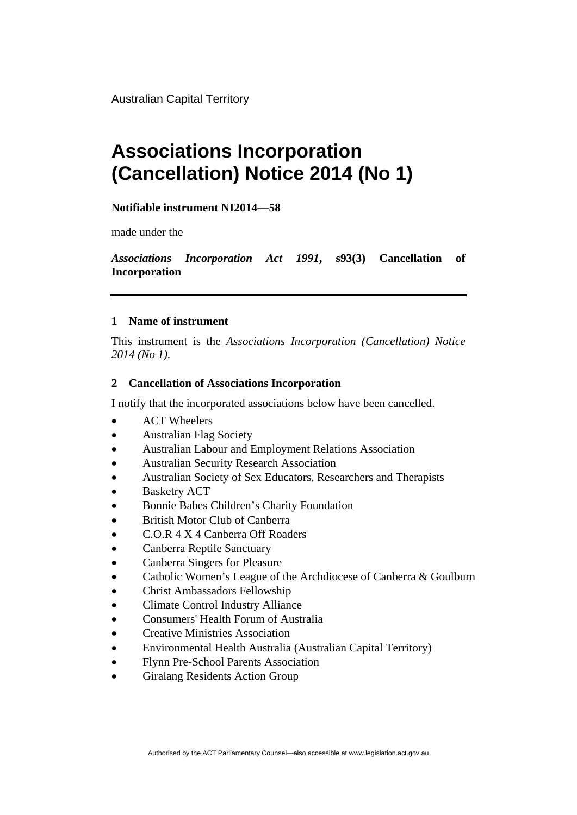Australian Capital Territory

## **Associations Incorporation (Cancellation) Notice 2014 (No 1)**

**Notifiable instrument NI2014—58**

made under the

*Associations Incorporation Act 1991***, s93(3) Cancellation of Incorporation**

## **1 Name of instrument**

This instrument is the *Associations Incorporation (Cancellation) Notice 2014 (No 1).* 

## **2 Cancellation of Associations Incorporation**

I notify that the incorporated associations below have been cancelled.

- ACT Wheelers
- Australian Flag Society
- Australian Labour and Employment Relations Association
- Australian Security Research Association
- Australian Society of Sex Educators, Researchers and Therapists
- Basketry ACT
- Bonnie Babes Children's Charity Foundation
- British Motor Club of Canberra
- C.O.R 4 X 4 Canberra Off Roaders
- Canberra Reptile Sanctuary
- Canberra Singers for Pleasure
- Catholic Women's League of the Archdiocese of Canberra & Goulburn
- Christ Ambassadors Fellowship
- Climate Control Industry Alliance
- Consumers' Health Forum of Australia
- Creative Ministries Association
- Environmental Health Australia (Australian Capital Territory)
- Flynn Pre-School Parents Association
- Giralang Residents Action Group